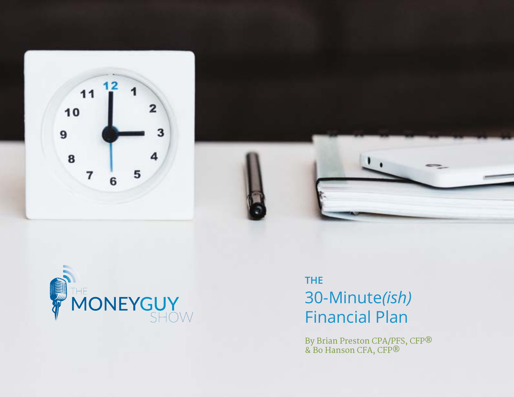



# **THE** 30-Minute*(ish)* Financial Plan

By Brian Preston CPA/PFS, CFP® & Bo Hanson CFA, CFP®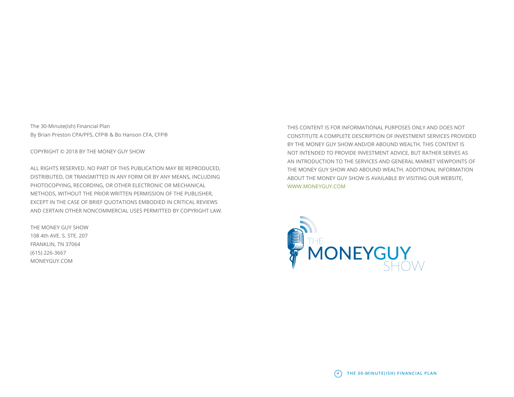The 30-Minute(ish) Financial Plan By Brian Preston CPA/PFS, CFP® & Bo Hanson CFA, CFP®

COPYRIGHT © 2018 BY THE MONEY GUY SHOW

ALL RIGHTS RESERVED. NO PART OF THIS PUBLICATION MAY BE REPRODUCED, DISTRIBUTED, OR TRANSMITTED IN ANY FORM OR BY ANY MEANS, INCLUDING PHOTOCOPYING, RECORDING, OR OTHER ELECTRONIC OR MECHANICAL METHODS, WITHOUT THE PRIOR WRITTEN PERMISSION OF THE PUBLISHER, EXCEPT IN THE CASE OF BRIEF QUOTATIONS EMBODIED IN CRITICAL REVIEWS AND CERTAIN OTHER NONCOMMERCIAL USES PERMITTED BY COPYRIGHT LAW.

THE MONEY GUY SHOW 108 4th AVE. S. STE. 207 FRANKLIN, TN 37064 (615) 226-3667 MONEYGUY.COM

THIS CONTENT IS FOR INFORMATIONAL PURPOSES ONLY AND DOES NOT CONSTITUTE A COMPLETE DESCRIPTION OF INVESTMENT SERVICES PROVIDED BY THE MONEY GUY SHOW AND/OR ABOUND WEALTH. THIS CONTENT IS NOT INTENDED TO PROVIDE INVESTMENT ADVICE, BUT RATHER SERVES AS AN INTRODUCTION TO THE SERVICES AND GENERAL MARKET VIEWPOINTS OF THE MONEY GUY SHOW AND ABOUND WEALTH. ADDITIONAL INFORMATION ABOUT THE MONEY GUY SHOW IS AVAILABLE BY VISITING OUR WEBSITE, [WWW.MONEYGUY.COM](http://WWW.MONEYGUY.COM)



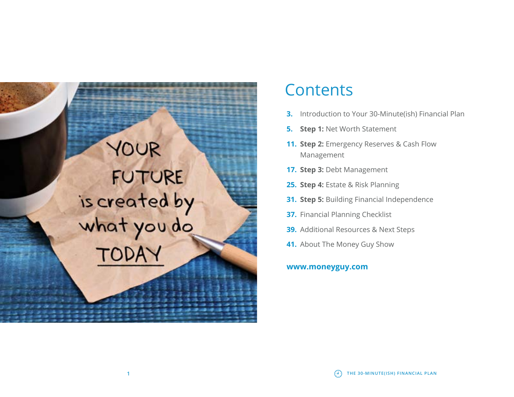# YOUR FUTURE is created by<br>what you do

# **Contents**

- **3.** Introduction to Your 30-Minute(ish) Financial Plan
- **5. Step 1:** Net Worth Statement
- **11. Step 2:** Emergency Reserves & Cash Flow Management
- **17. Step 3:** Debt Management
- **25. Step 4:** Estate & Risk Planning
- **31. Step 5:** Building Financial Independence
- **37.** Financial Planning Checklist
- **39.** Additional Resources & Next Steps
- **41.** About The Money Guy Show

#### **[www.moneyguy.com](http://www.moneyguy.com)**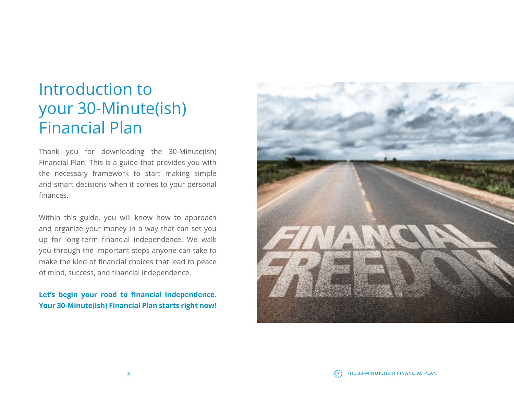# Introduction to your 30-Minute(ish) Financial Plan

Thank you for downloading the 30-Minute(ish) Financial Plan. This is a guide that provides you with the necessary framework to start making simple and smart decisions when it comes to your personal finances.

Within this guide, you will know how to approach and organize your money in a way that can set you up for long-term financial independence. We walk you through the important steps anyone can take to make the kind of financial choices that lead to peace of mind, success, and financial independence.

#### **Let's begin your road to financial independence. Your 30-Minute(ish) Financial Plan starts right now!**



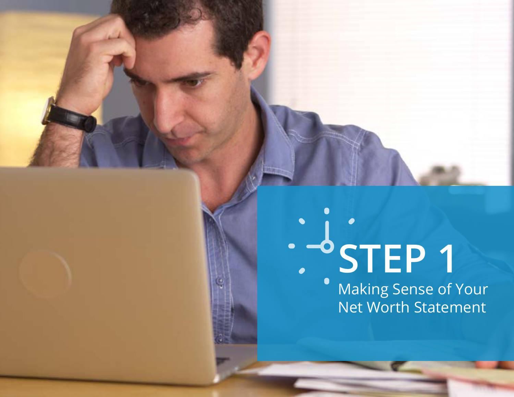# **STEP 1**

**5 THE 30-MINUTE(ISH) FINANCIAL PLAN**

Making Sense of Your Net Worth Statement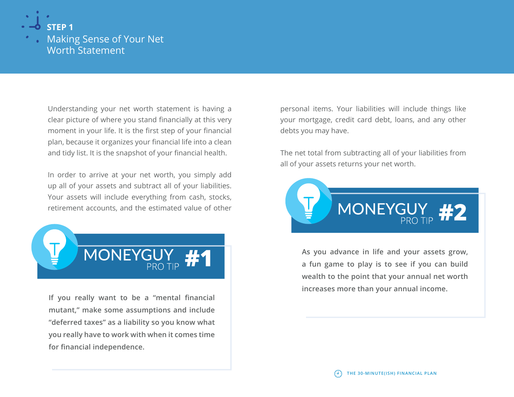

### Making Sense of Your Net Worth Statement

Understanding your net worth statement is having a clear picture of where you stand financially at this very moment in your life. It is the first step of your financial plan, because it organizes your financial life into a clean and tidy list. It is the snapshot of your financial health.

In order to arrive at your net worth, you simply add up all of your assets and subtract all of your liabilities. Your assets will include everything from cash, stocks, retirement accounts, and the estimated value of other



**If you really want to be a "mental financial mutant," make some assumptions and include "deferred taxes" as a liability so you know what you really have to work with when it comes time for financial independence.**

personal items. Your liabilities will include things like your mortgage, credit card debt, loans, and any other debts you may have.

The net total from subtracting all of your liabilities from all of your assets returns your net worth.



**As you advance in life and your assets grow, a fun game to play is to see if you can build wealth to the point that your annual net worth increases more than your annual income.**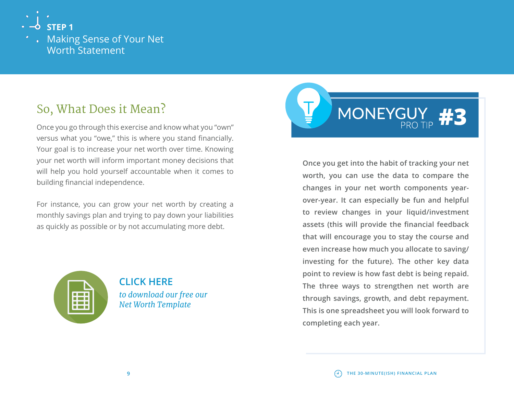

# So, What Does it Mean?

Once you go through this exercise and know what you "own" versus what you "owe," this is where you stand financially. Your goal is to increase your net worth over time. Knowing your net worth will inform important money decisions that will help you hold yourself accountable when it comes to building financial independence.

For instance, you can grow your net worth by creating a monthly savings plan and trying to pay down your liabilities as quickly as possible or by not accumulating more debt.



**CLICK HERE**  *[to download our free our](https://www.moneyguy.com/wp-content/uploads/2019/12/The-Money-Guy-Show-Net-Worth-Worksheet.xls)  Net Worth Template*



**Once you get into the habit of tracking your net worth, you can use the data to compare the changes in your net worth components yearover-year. It can especially be fun and helpful to review changes in your liquid/investment assets (this will provide the financial feedback that will encourage you to stay the course and even increase how much you allocate to saving/ investing for the future). The other key data point to review is how fast debt is being repaid. The three ways to strengthen net worth are through savings, growth, and debt repayment. This is one spreadsheet you will look forward to completing each year.**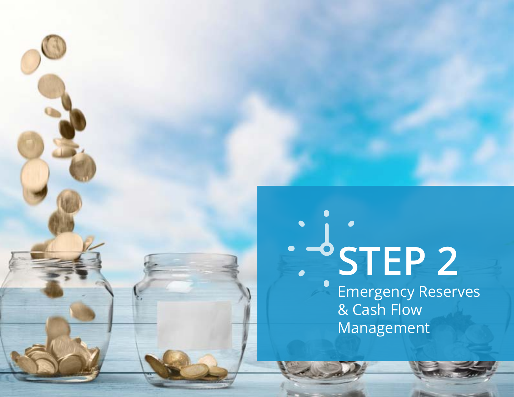# **STEP 2**

**11 THE 30-MINUTE(ISH) FINANCIAL PLAN**

Emergency Reserves & Cash Flow Management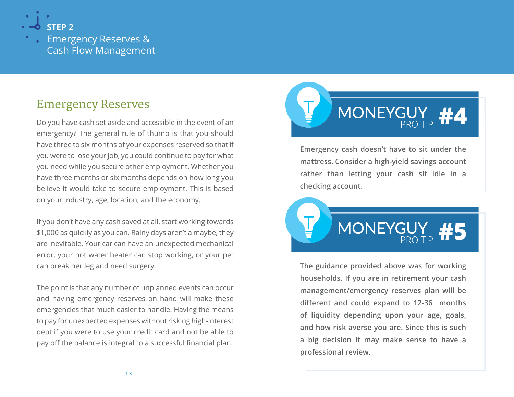

Emergency Reserves & Cash Flow Management

## Emergency Reserves

Do you have cash set aside and accessible in the event of an emergency? The general rule of thumb is that you should have three to six months of your expenses reserved so that if you were to lose your job, you could continue to pay for what you need while you secure other employment. Whether you have three months or six months depends on how long you believe it would take to secure employment. This is based on your industry, age, location, and the economy.

If you don't have any cash saved at all, start working towards \$1,000 as quickly as you can. Rainy days aren't a maybe, they are inevitable. Your car can have an unexpected mechanical error, your hot water heater can stop working, or your pet can break her leg and need surgery.

The point is that any number of unplanned events can occur and having emergency reserves on hand will make these emergencies that much easier to handle. Having the means to pay for unexpected expenses without risking high-interest debt if you were to use your credit card and not be able to pay off the balance is integral to a successful financial plan.



**Emergency cash doesn't have to sit under the mattress. Consider a high-yield savings account rather than letting your cash sit idle in a checking account.**



**The guidance provided above was for working households. If you are in retirement your cash management/emergency reserves plan will be different and could expand to 12-36 months of liquidity depending upon your age, goals, and how risk averse you are. Since this is such a big decision it may make sense to have a professional review.**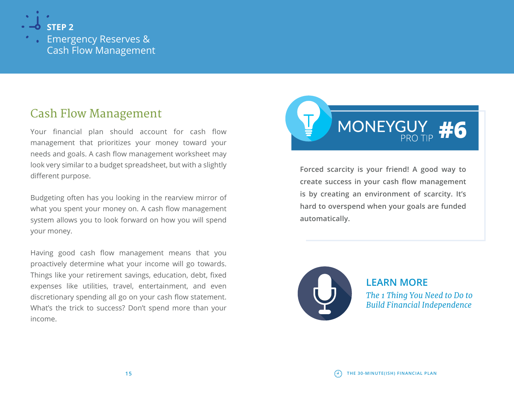

Emergency Reserves & Cash Flow Management

## Cash Flow Management

Your financial plan should account for cash flow management that prioritizes your money toward your needs and goals. A cash flow management worksheet may look very similar to a budget spreadsheet, but with a slightly different purpose.

Budgeting often has you looking in the rearview mirror of what you spent your money on. A cash flow management system allows you to look forward on how you will spend your money.

Having good cash flow management means that you proactively determine what your income will go towards. Things like your retirement savings, education, debt, fixed expenses like utilities, travel, entertainment, and even discretionary spending all go on your cash flow statement. What's the trick to success? Don't spend more than your income.



**Forced scarcity is your friend! A good way to create success in your cash flow management is by creating an environment of scarcity. It's hard to overspend when your goals are funded automatically.**



**LEARN MORE** *[The 1 Thing You Need to Do to](http://www.moneyguy.com/2017/05/the-1-thing-you-need-to-do-to-build-financial-independence/)  Build Financial Independence*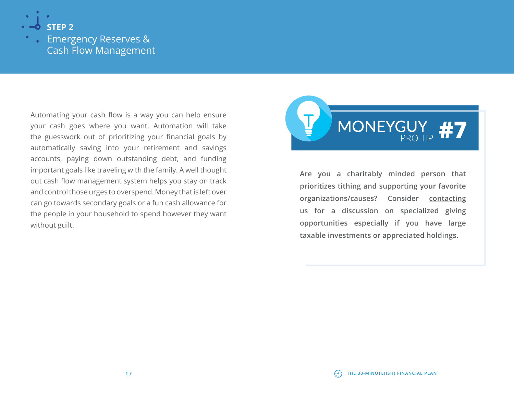

Emergency Reserves & Cash Flow Management

Automating your cash flow is a way you can help ensure your cash goes where you want. Automation will take the guesswork out of prioritizing your financial goals by automatically saving into your retirement and savings accounts, paying down outstanding debt, and funding important goals like traveling with the family. A well thought out cash flow management system helps you stay on track and control those urges to overspend. Money that is left over can go towards secondary goals or a fun cash allowance for the people in your household to spend however they want without guilt.



**Are you a charitably minded person that prioritizes tithing and supporting your favorite organizations/causes? Consider [contacting](http://www.moneyguy.com/contact-us/ ) [us](http://www.moneyguy.com/contact-us/ ) for a discussion on specialized giving opportunities especially if you have large taxable investments or appreciated holdings.**

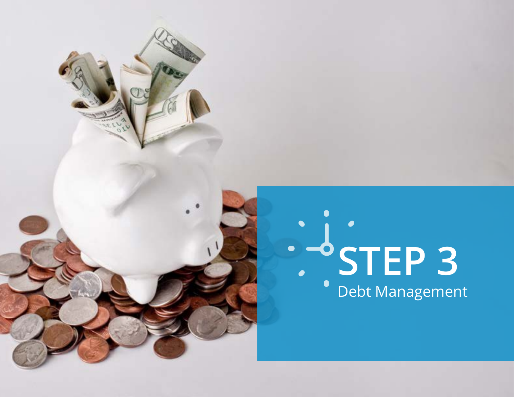# **STEP 3** Debt Management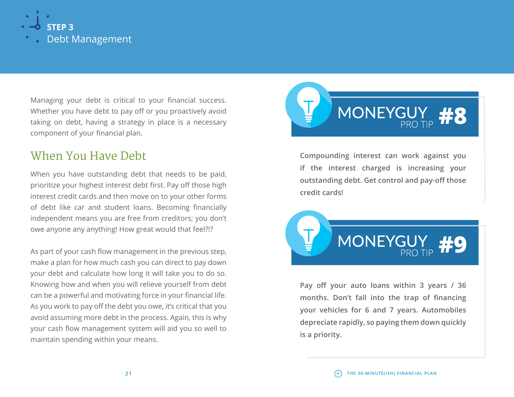

Managing your debt is critical to your financial success. Whether you have debt to pay off or you proactively avoid taking on debt, having a strategy in place is a necessary component of your financial plan.

## When You Have Debt

When you have outstanding debt that needs to be paid, prioritize your highest interest debt first. Pay off those high interest credit cards and then move on to your other forms of debt like car and student loans. Becoming financially independent means you are free from creditors; you don't owe anyone any anything! How great would that feel?!?

As part of your cash flow management in the previous step, make a plan for how much cash you can direct to pay down your debt and calculate how long it will take you to do so. Knowing how and when you will relieve yourself from debt can be a powerful and motivating force in your financial life. As you work to pay off the debt you owe, it's critical that you avoid assuming more debt in the process. Again, this is why your cash flow management system will aid you so well to maintain spending within your means.



**Compounding interest can work against you if the interest charged is increasing your outstanding debt. Get control and pay-off those credit cards!**



**Pay off your auto loans within 3 years / 36 months. Don't fall into the trap of financing your vehicles for 6 and 7 years. Automobiles depreciate rapidly, so paying them down quickly is a priority.**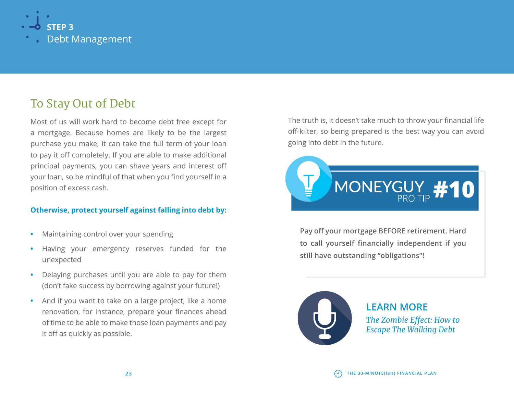

# To Stay Out of Debt

Most of us will work hard to become debt free except for a mortgage. Because homes are likely to be the largest purchase you make, it can take the full term of your loan to pay it off completely. If you are able to make additional principal payments, you can shave years and interest off your loan, so be mindful of that when you find yourself in a position of excess cash.

#### **Otherwise, protect yourself against falling into debt by:**

- **•** Maintaining control over your spending
- **•** Having your emergency reserves funded for the unexpected
- **•** Delaying purchases until you are able to pay for them (don't fake success by borrowing against your future!)
- **•** And if you want to take on a large project, like a home renovation, for instance, prepare your finances ahead of time to be able to make those loan payments and pay it off as quickly as possible.

The truth is, it doesn't take much to throw your financial life off-kilter, so being prepared is the best way you can avoid going into debt in the future.



**Pay off your mortgage BEFORE retirement. Hard to call yourself financially independent if you still have outstanding "obligations"!**



**LEARN MORE** *[The Zombie Effect: How to](http://www.moneyguy.com/2017/07/the-zombie-effect-how-to-escape-the-walking-debt/)  Escape The Walking Debt*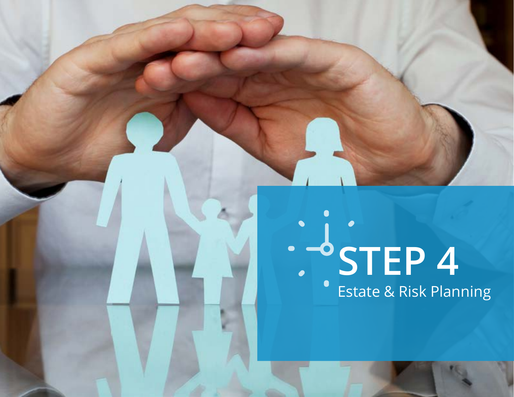# **STEP 4** Estate & Risk Planning

**25 THE 30-MINUTE(ISH) FINANCIAL PLAN**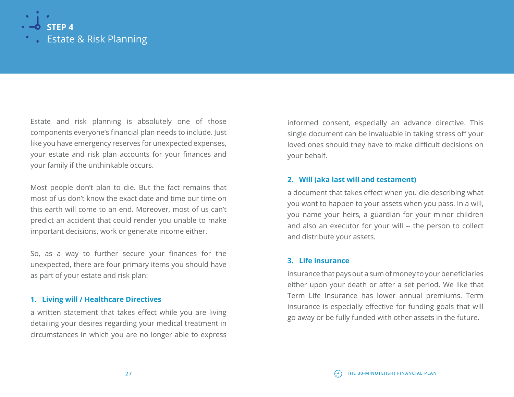

Estate and risk planning is absolutely one of those components everyone's financial plan needs to include. Just like you have emergency reserves for unexpected expenses, your estate and risk plan accounts for your finances and your family if the unthinkable occurs.

Most people don't plan to die. But the fact remains that most of us don't know the exact date and time our time on this earth will come to an end. Moreover, most of us can't predict an accident that could render you unable to make important decisions, work or generate income either.

So, as a way to further secure your finances for the unexpected, there are four primary items you should have as part of your estate and risk plan:

#### **1. Living will / Healthcare Directives**

a written statement that takes effect while you are living detailing your desires regarding your medical treatment in circumstances in which you are no longer able to express

informed consent, especially an advance directive. This single document can be invaluable in taking stress off your loved ones should they have to make difficult decisions on your behalf.

#### **2. Will (aka last will and testament)**

a document that takes effect when you die describing what you want to happen to your assets when you pass. In a will, you name your heirs, a guardian for your minor children and also an executor for your will -- the person to collect and distribute your assets.

#### **3. Life insurance**

insurance that pays out a sum of money to your beneficiaries either upon your death or after a set period. We like that Term Life Insurance has lower annual premiums. Term insurance is especially effective for funding goals that will go away or be fully funded with other assets in the future.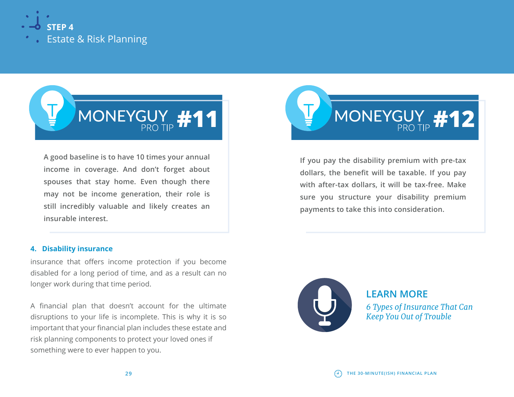



**A good baseline is to have 10 times your annual income in coverage. And don't forget about spouses that stay home. Even though there may not be income generation, their role is still incredibly valuable and likely creates an insurable interest.**

#### **4. Disability insurance**

insurance that offers income protection if you become disabled for a long period of time, and as a result can no longer work during that time period.

A financial plan that doesn't account for the ultimate disruptions to your life is incomplete. This is why it is so important that your financial plan includes these estate and risk planning components to protect your loved ones if something were to ever happen to you.



**If you pay the disability premium with pre-tax dollars, the benefit will be taxable. If you pay with after-tax dollars, it will be tax-free. Make sure you structure your disability premium payments to take this into consideration.**



**LEARN MORE** *[6 Types of Insurance That Can](http://www.moneyguy.com/2017/10/6-types-of-insurance-that-can-keep-you-out-of-trouble/)  Keep You Out of Trouble*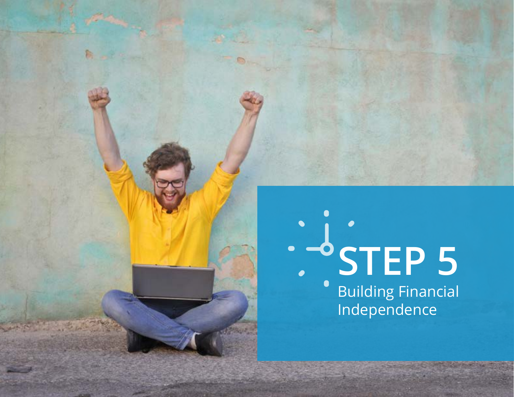# **STEP 5** Building Financial Independence

**31 THE 30-MINUTE(ISH) FINANCIAL PLAN**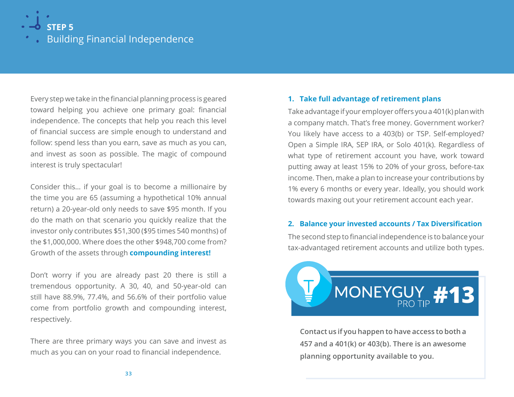

Building Financial Independence

Every step we take in the financial planning process is geared toward helping you achieve one primary goal: financial independence. The concepts that help you reach this level of financial success are simple enough to understand and follow: spend less than you earn, save as much as you can, and invest as soon as possible. The magic of compound interest is truly spectacular!

Consider this… if your goal is to become a millionaire by the time you are 65 (assuming a hypothetical 10% annual return) a 20-year-old only needs to save \$95 month. If you do the math on that scenario you quickly realize that the investor only contributes \$51,300 (\$95 times 540 months) of the \$1,000,000. Where does the other \$948,700 come from? Growth of the assets through **compounding interest!** 

Don't worry if you are already past 20 there is still a tremendous opportunity. A 30, 40, and 50-year-old can still have 88.9%, 77.4%, and 56.6% of their portfolio value come from portfolio growth and compounding interest, respectively.

There are three primary ways you can save and invest as much as you can on your road to financial independence.

#### **1. Take full advantage of retirement plans**

Take advantage if your employer offers you a 401(k) plan with a company match. That's free money. Government worker? You likely have access to a 403(b) or TSP. Self-employed? Open a Simple IRA, SEP IRA, or Solo 401(k). Regardless of what type of retirement account you have, work toward putting away at least 15% to 20% of your gross, before-tax income. Then, make a plan to increase your contributions by 1% every 6 months or every year. Ideally, you should work towards maxing out your retirement account each year.

#### **2. Balance your invested accounts / Tax Diversification**

The second step to financial independence is to balance your tax-advantaged retirement accounts and utilize both types.



**Contact us if you happen to have access to both a 457 and a 401(k) or 403(b). There is an awesome planning opportunity available to you.**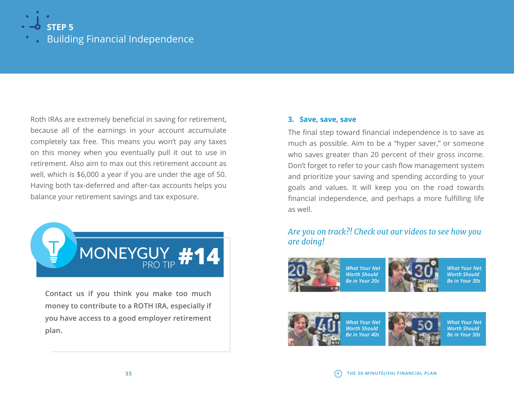

Building Financial Independence

Roth IRAs are extremely beneficial in saving for retirement, because all of the earnings in your account accumulate completely tax free. This means you won't pay any taxes on this money when you eventually pull it out to use in retirement. Also aim to max out this retirement account as well, which is \$6,000 a year if you are under the age of 50. Having both tax-deferred and after-tax accounts helps you balance your retirement savings and tax exposure.



**Contact us if you think you make too much money to contribute to a ROTH IRA, especially if you have access to a good employer retirement plan.**

#### **3. Save, save, save**

The final step toward financial independence is to save as much as possible. Aim to be a "hyper saver," or someone who saves greater than 20 percent of their gross income. Don't forget to refer to your cash flow management system and prioritize your saving and spending according to your goals and values. It will keep you on the road towards financial independence, and perhaps a more fulfilling life as well.

#### *Are you on track?! Check out our videos to see how you are doing!*



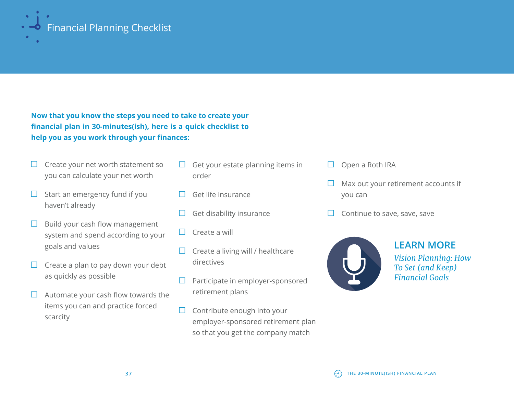

**Now that you know the steps you need to take to create your financial plan in 30-minutes(ish), here is a quick checklist to help you as you work through your finances:**

- $\Box$  Create your [net worth statement](http://www.moneyguy.com/wp-content/uploads/2018/02/The-Money-Guy-Show-Net-Worth-Worksheet.xls) so you can calculate your net worth
- $\Box$  Start an emergency fund if you haven't already
- $\Box$  Build your cash flow management system and spend according to your goals and values
- $\Box$  Create a plan to pay down your debt as quickly as possible
- $\Box$  Automate your cash flow towards the items you can and practice forced scarcity
- $\Box$  Get your estate planning items in order
- Get life insurance
- Get disability insurance
- $\Box$  Create a will
- $\Box$  Create a living will / healthcare directives
- $\Box$  Participate in employer-sponsored retirement plans
- $\Box$  Contribute enough into your employer-sponsored retirement plan so that you get the company match
- Open a Roth IRA
- Max out your retirement accounts if you can
- Continue to save, save, save



**LEARN MORE**

*[Vision Planning: How](http://www.moneyguy.com/2018/01/vision-planning-in-2018-how-to-set-financial-goals/)  To Set (and Keep) Financial Goals*

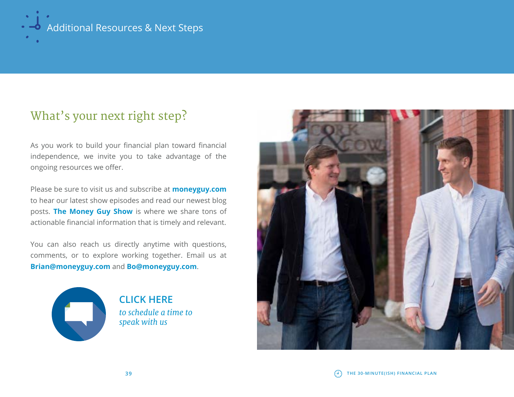

# What's your next right step?

As you work to build your financial plan toward financial independence, we invite you to take advantage of the ongoing resources we offer.

Please be sure to visit us and subscribe at **[moneyguy.com](http://www.moneyguy.com )** to hear our latest show episodes and read our newest blog posts. **[The Money Guy Show](http://www.moneyguy.com/)** is where we share tons of actionable financial information that is timely and relevant.

You can also reach us directly anytime with questions, comments, or to explore working together. Email us at **[Brian@moneyguy.com](mailto:Brian%40moneyguy.com?subject=)** and **[Bo@moneyguy.com](mailto:bo%40moneyguy.com?subject=)**.



**CLICK HERE**  *[to schedule a time to](http://www.moneyguy.com/contact-us/ )  speak with us*